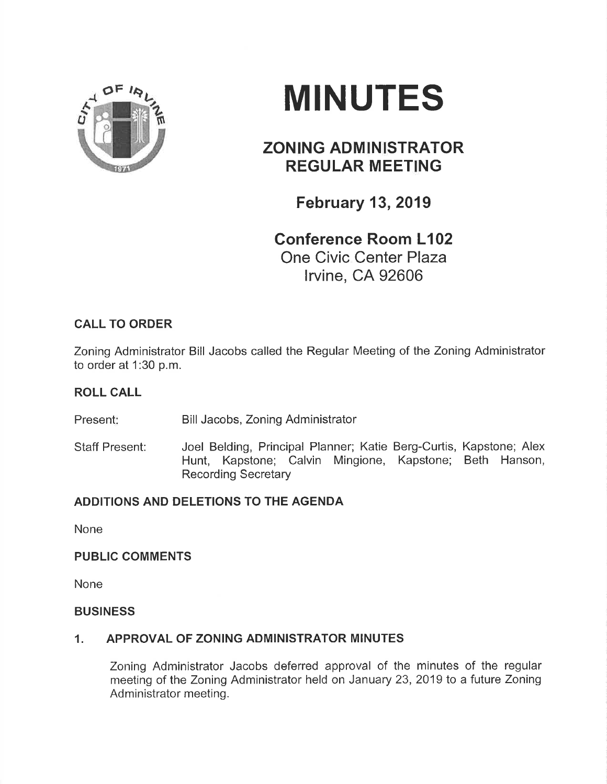

# **MINUTES**

## ZONING ADMINISTRATOR **REGULAR MEETING**

February 13,2019

# Conference Room L102 One Civic Center Plaza

lrvine, CA 92606

## CALL TO ORDER

Zoning Administrator Bill Jacobs called the Regular Meeting of the Zoning Administrator to order at 1:30 p.m.

#### ROLL CALL

Present: Bill Jacobs, Zoning Administrator

Staff Present: Joel Belding, Principal Planner; Katie Berg-Curtis, Kapstone; Alex Hunt, Kapstone; Calvin Mingione, Kapstone; Beth Hanson, Recording Secretary

## ADDITIONS AND DELETIONS TO THE AGENDA

None

#### PUBLIC COMMENTS

None

#### **BUSINESS**

#### 1. APPROVAL OF ZONING ADMINISTRATOR MINUTES

Zoning Administrator Jacobs deferred approval of the minutes of the regular meeting of the Zoning Administrator held on January 23, 2019 to a future Zoning Administrator meeting.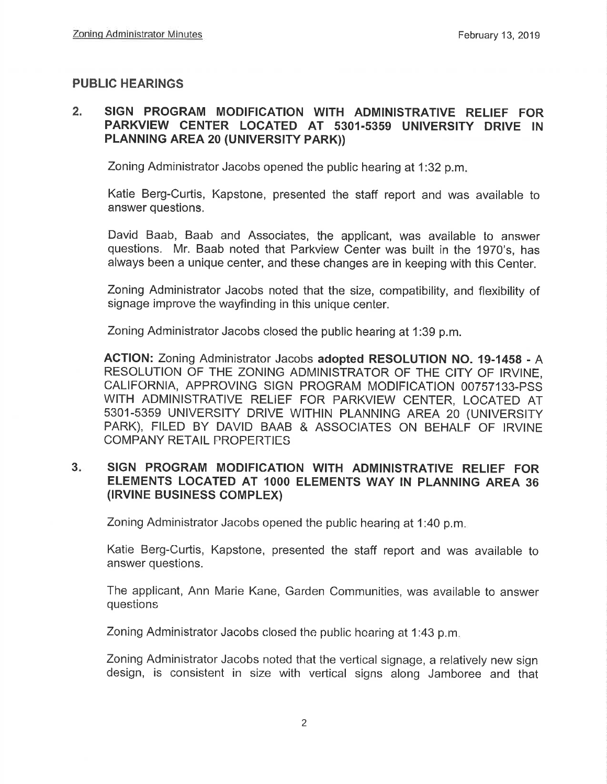#### PUBLIC HEARINGS

#### 2. SIGN PROGRAM MODIFICATION WITH ADMINISTRATIVE RELIEF FOR PARKVIEW CENTER LOCATED AT 5301.5359 UNIVERSITY DRIVE IN PLANNING AREA 20 (UNIVERSITY PARK))

Zoning Administrator Jacobs opened the public hearing at 1:32 p.m.

Katie Berg-Curtis, Kapstone, presented the staff report and was available to answer questions.

David Baab, Baab and Associates, the applicant, was available to answer questions. Mr. Baab noted that Parkview Center was built in the 1970's, has always been a unique center, and these changes are in keeping with this Center.

Zoning Administrator Jacobs noted that the size, compatibility, and flexibility of signage improve the wayfinding in this unique center.

Zoning Administrator Jacobs closed the public hearing at 1:39 p.m.

AGTION: Zoning Administrator Jacobs adopted RESOLUTION No. 19-14s8 - A RESOLUTION OF THE ZONING ADMINISTRATOR OF THE CITY OF IRVINE, CALIFORNIA, APPROVING SIGN PROGRAM MODIFICATION 00757133-PSS WITH ADMINISTRATIVE RELIEF FOR PARKVIEW CENTER, LOCATED AT 5301-5359 UNIVERSITY DRIVE WITHIN PLANNING AREA 20 (UNIVERSITY PARK), FILED BY DAVID BAAB & ASSOCIATES ON BEHALF OF IRVINE COMPANY RETAIL PROPERTIES

#### 3. SIGN PROGRAM MODIFICATION WITH ADMINISTRATIVE RELIEF FOR ELEMENTS LOCATED AT IOOO ELEMENTS WAY IN PLANNING AREA 36 (IRVINE BUSINESS COMPLEX)

Zoning Administrator Jacobs opened the public hearing at 1:40 p.m

Katie Berg-Curtis, Kapstone, presented the staff report and was available to answer questions.

The applicant, Ann Marie Kane, Garden Communities, was available to answer questions

Zoning Administrator Jacobs closed the public hearing at 1:43 p.m.

Zoning Administrator Jacobs noted that the vertical signage, a relatively new sign design, is consistent in size with vertical signs along Jamboree and that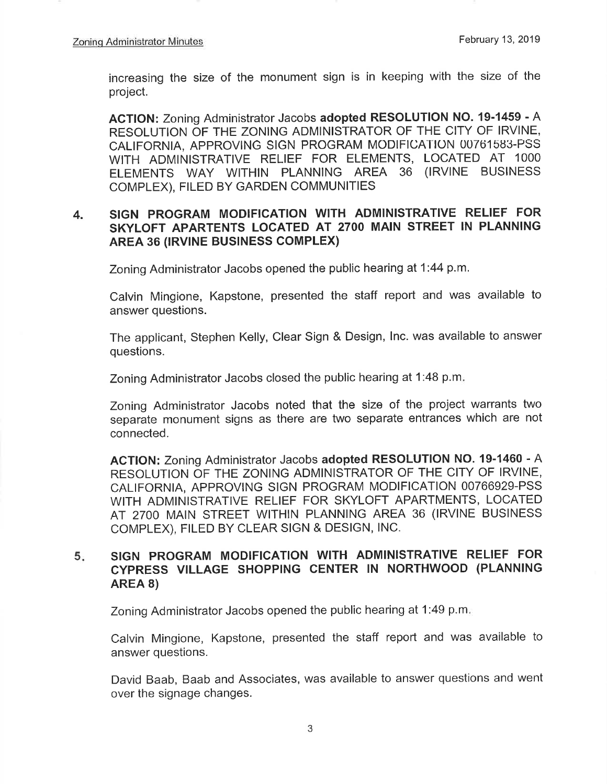increasing the size of the monument sign is in keeping with the size of the project.

AGTION: Zoning Administrator Jacobs adopted RESOLUTION NO. 19-1459 - A RESOLUTION OF THE ZONING ADMINISTRATOR OF THE CITY OF IRVINE, CALIFORNIA, APPROVING SIGN PROGRAM MODIFICATION 00761583-PSS WITH ADMINISTRATIVE RELIEF FOR ELEMENTS, LOCATED AT 1000 ELEMENTS WAY WITHIN PLANNING AREA 36 (IRVINE BUSINESS COMPLEX), FILED BY GARDEN COMMUNITIES

#### 4. SIGN PROGRAM MODIFICATION WITH ADMINISTRATIVE RELIEF FOR SKYLOFT APARTENTS LOCATED AT 27OO MAIN STREET IN PLANNING AREA 36 (lRVlNE BUSINESS COMPLEX)

Zoning Administrator Jacobs opened the public hearing at 1:44 p.m.

Calvin Mingione, Kapstone, presented the staff report and was available to answer questions.

The applicant, Stephen Kelly, Clear Sign & Design, lnc. was available to answer questions.

Zoning Administrator Jacobs closed the public hearing at 1:48 p.m

Zoning Administrator Jacobs noted that the size of the project warrants two separate monument signs as there are two separate entrances which are not connected.

ACTION: Zoning Administrator Jacobs adopted RESOLUTION NO. 19-1460 - A RESOLUTION OF THE ZONING ADMINISTRATOR OF THE CITY OF IRVINE, CALIFORNIA, APPROVING SIGN PROGRAM MODIFICATION 00766929-PSS WITH ADMINISTRATIVE RELIEF FOR SKYLOFT APARTMENTS, LOCATED AT 27OO MAIN STREET WITHIN PLANNING AREA 36 (lRVlNE BUSINESS coMpLEX), FILED BY CLEAR SIGN & DESIGN, lNC.

#### 5. SIGN PROGRAM MODIFICATION WITH ADMINISTRATIVE RELIEF FOR cypRESS VILLAGE SHOPPING CENTER lN NORTHWOOD (PLANNING AREA 8)

Zoning Administrator Jacobs opened the public hearing at 1:49 p.m

Calvin Mingione, Kapstone, presented the staff report and was available to answer questions.

David Baab, Baab and Associates, was available to answer questions and went over the signage changes.